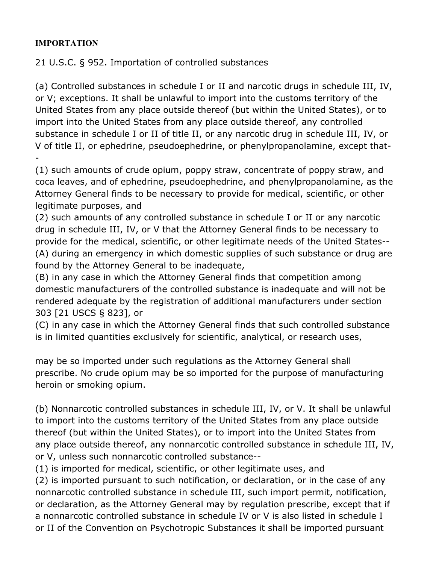## **IMPORTATION**

21 U.S.C. § 952. Importation of controlled substances

(a) Controlled substances in schedule I or II and narcotic drugs in schedule III, IV, or V; exceptions. It shall be unlawful to import into the customs territory of the United States from any place outside thereof (but within the United States), or to import into the United States from any place outside thereof, any controlled substance in schedule I or II of title II, or any narcotic drug in schedule III, IV, or V of title II, or ephedrine, pseudoephedrine, or phenylpropanolamine, except that- -

(1) such amounts of crude opium, poppy straw, concentrate of poppy straw, and coca leaves, and of ephedrine, pseudoephedrine, and phenylpropanolamine, as the Attorney General finds to be necessary to provide for medical, scientific, or other legitimate purposes, and

(2) such amounts of any controlled substance in schedule I or II or any narcotic drug in schedule III, IV, or V that the Attorney General finds to be necessary to provide for the medical, scientific, or other legitimate needs of the United States-- (A) during an emergency in which domestic supplies of such substance or drug are found by the Attorney General to be inadequate,

(B) in any case in which the Attorney General finds that competition among domestic manufacturers of the controlled substance is inadequate and will not be rendered adequate by the registration of additional manufacturers under section 303 [21 USCS § 823], or

(C) in any case in which the Attorney General finds that such controlled substance is in limited quantities exclusively for scientific, analytical, or research uses,

may be so imported under such regulations as the Attorney General shall prescribe. No crude opium may be so imported for the purpose of manufacturing heroin or smoking opium.

(b) Nonnarcotic controlled substances in schedule III, IV, or V. It shall be unlawful to import into the customs territory of the United States from any place outside thereof (but within the United States), or to import into the United States from any place outside thereof, any nonnarcotic controlled substance in schedule III, IV, or V, unless such nonnarcotic controlled substance--

(1) is imported for medical, scientific, or other legitimate uses, and

(2) is imported pursuant to such notification, or declaration, or in the case of any nonnarcotic controlled substance in schedule III, such import permit, notification, or declaration, as the Attorney General may by regulation prescribe, except that if a nonnarcotic controlled substance in schedule IV or V is also listed in schedule I or II of the Convention on Psychotropic Substances it shall be imported pursuant